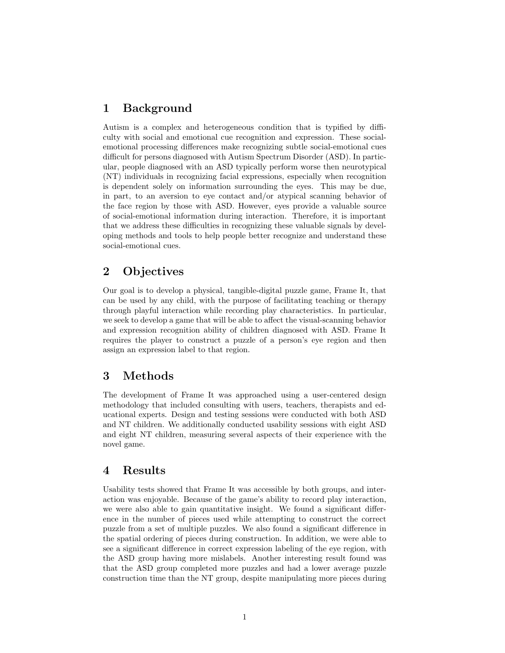# 1 Background

Autism is a complex and heterogeneous condition that is typified by difficulty with social and emotional cue recognition and expression. These socialemotional processing differences make recognizing subtle social-emotional cues difficult for persons diagnosed with Autism Spectrum Disorder (ASD). In particular, people diagnosed with an ASD typically perform worse then neurotypical (NT) individuals in recognizing facial expressions, especially when recognition is dependent solely on information surrounding the eyes. This may be due, in part, to an aversion to eye contact and/or atypical scanning behavior of the face region by those with ASD. However, eyes provide a valuable source of social-emotional information during interaction. Therefore, it is important that we address these difficulties in recognizing these valuable signals by developing methods and tools to help people better recognize and understand these social-emotional cues.

# 2 Objectives

Our goal is to develop a physical, tangible-digital puzzle game, Frame It, that can be used by any child, with the purpose of facilitating teaching or therapy through playful interaction while recording play characteristics. In particular, we seek to develop a game that will be able to affect the visual-scanning behavior and expression recognition ability of children diagnosed with ASD. Frame It requires the player to construct a puzzle of a person's eye region and then assign an expression label to that region.

## 3 Methods

The development of Frame It was approached using a user-centered design methodology that included consulting with users, teachers, therapists and educational experts. Design and testing sessions were conducted with both ASD and NT children. We additionally conducted usability sessions with eight ASD and eight NT children, measuring several aspects of their experience with the novel game.

#### 4 Results

Usability tests showed that Frame It was accessible by both groups, and interaction was enjoyable. Because of the game's ability to record play interaction, we were also able to gain quantitative insight. We found a significant difference in the number of pieces used while attempting to construct the correct puzzle from a set of multiple puzzles. We also found a significant difference in the spatial ordering of pieces during construction. In addition, we were able to see a significant difference in correct expression labeling of the eye region, with the ASD group having more mislabels. Another interesting result found was that the ASD group completed more puzzles and had a lower average puzzle construction time than the NT group, despite manipulating more pieces during